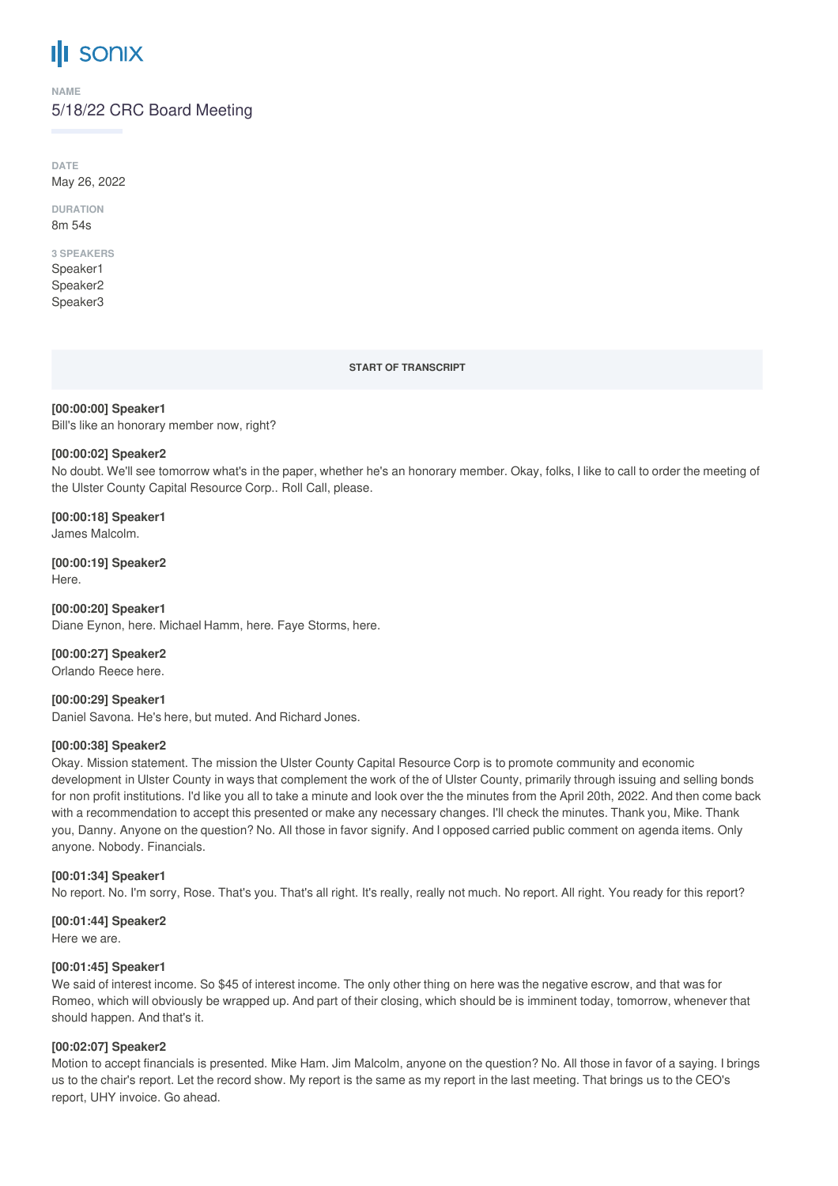# **SONIX**

**NAME**

# 5/18/22 CRC Board Meeting

**DATE** May 26, 2022

**DURATION** 8m 54s

# **3 SPEAKERS**

Speaker1 Speaker2 Speaker3

**START OF TRANSCRIPT**

## **[00:00:00] Speaker1** Bill's like an honorary member now, right?

## **[00:00:02] Speaker2**

No doubt. We'll see tomorrow what's in the paper, whether he's an honorary member. Okay, folks, I like to call to order the meeting of the Ulster County Capital Resource Corp.. Roll Call, please.

**[00:00:18] Speaker1** James Malcolm.

**[00:00:19] Speaker2** Here.

**[00:00:20] Speaker1** Diane Eynon, here. Michael Hamm, here. Faye Storms, here.

**[00:00:27] Speaker2** Orlando Reece here.

**[00:00:29] Speaker1** Daniel Savona. He's here, but muted. And Richard Jones.

## **[00:00:38] Speaker2**

Okay. Mission statement. The mission the Ulster County Capital Resource Corp is to promote community and economic development in Ulster County in ways that complement the work of the of Ulster County, primarily through issuing and selling bonds for non profit institutions. I'd like you all to take a minute and look over the the minutes from the April 20th, 2022. And then come back with a recommendation to accept this presented or make any necessary changes. I'll check the minutes. Thank you, Mike. Thank you, Danny. Anyone on the question? No. All those in favor signify. And I opposed carried public comment on agenda items. Only anyone. Nobody. Financials.

# **[00:01:34] Speaker1**

No report. No. I'm sorry, Rose. That's you. That's all right. It's really, really not much. No report. All right. You ready for this report?

## **[00:01:44] Speaker2**

Here we are.

## **[00:01:45] Speaker1**

We said of interest income. So \$45 of interest income. The only other thing on here was the negative escrow, and that was for Romeo, which will obviously be wrapped up. And part of their closing, which should be is imminent today, tomorrow, whenever that should happen. And that's it.

# **[00:02:07] Speaker2**

Motion to accept financials is presented. Mike Ham. Jim Malcolm, anyone on the question? No. All those in favor of a saying. I brings us to the chair's report. Let the record show. My report is the same as my report in the last meeting. That brings us to the CEO's report, UHY invoice. Go ahead.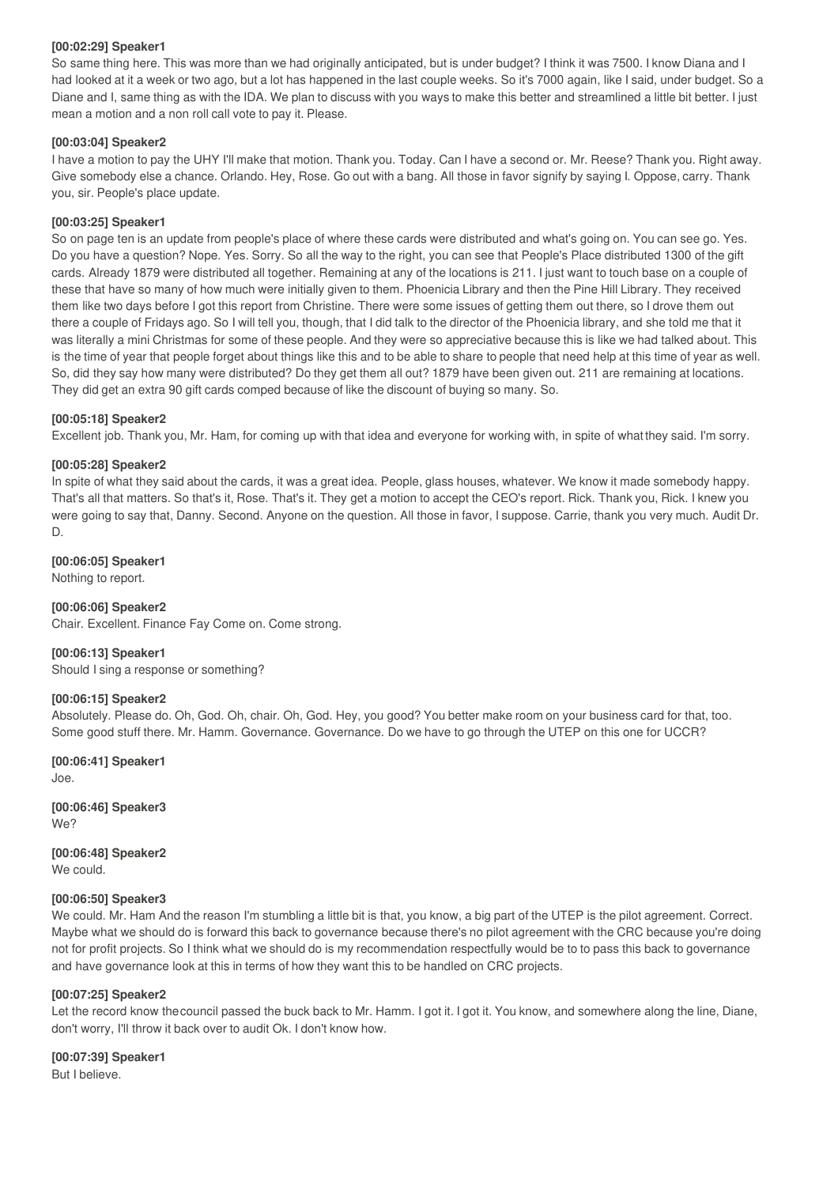#### **[00:02:29] Speaker1**

So same thing here. This was more than we had originally anticipated, but is under budget? I think it was 7500. I know Diana and I had looked at it a week or two ago, but a lot has happened in the last couple weeks. So it's 7000 again, like I said, under budget. So a Diane and I, same thing as with the IDA. We plan to discuss with you ways to make this better and streamlined a little bit better. I just mean a motion and a non roll call vote to pay it. Please.

#### **[00:03:04] Speaker2**

I have a motion to pay the UHY I'll make that motion. Thank you. Today. Can I have a second or. Mr. Reese? Thank you. Right away. Give somebody else a chance. Orlando. Hey, Rose. Go out with a bang. All those in favor signify by saying I. Oppose, carry. Thank you, sir. People's place update.

#### **[00:03:25] Speaker1**

So on page ten is an update from people's place of where these cards were distributed and what's going on. You can see go. Yes. Do you have a question? Nope. Yes. Sorry. So all the way to the right, you can see that People's Place distributed 1300 of the gift cards. Already 1879 were distributed all together. Remaining at any of the locations is 211. I just want to touch base on a couple of these that have so many of how much were initially given to them. Phoenicia Library and then the Pine Hill Library. They received them like two days before I got this report from Christine. There were some issues of getting them out there, so I drove them out there a couple of Fridays ago. So I will tell you, though, that I did talk to the director of the Phoenicia library, and she told me that it was literally a mini Christmas for some of these people. And they were so appreciative because this is like we had talked about. This is the time of year that people forget about things like this and to be able to share to people that need help at this time of year as well. So, did they say how many were distributed? Do they get them all out? 1879 have been given out. 211 are remaining at locations. They did get an extra 90 gift cards comped because of like the discount of buying so many. So.

#### **[00:05:18] Speaker2**

Excellent job. Thank you, Mr. Ham, for coming up with that idea and everyone for working with, in spite of whatthey said. I'm sorry.

#### **[00:05:28] Speaker2**

In spite of what they said about the cards, it was a great idea. People, glass houses, whatever. We know it made somebody happy. That's all that matters. So that's it, Rose. That's it. They get a motion to accept the CEO's report. Rick. Thank you, Rick. I knew you were going to say that, Danny. Second. Anyone on the question. All those in favor, I suppose. Carrie, thank you very much. Audit Dr. D.

#### **[00:06:05] Speaker1**

Nothing to report.

## **[00:06:06] Speaker2**

Chair. Excellent. Finance Fay Come on. Come strong.

#### **[00:06:13] Speaker1**

Should I sing a response or something?

#### **[00:06:15] Speaker2**

Absolutely. Please do. Oh, God. Oh, chair. Oh, God. Hey, you good? You better make room on your business card for that, too. Some good stuff there. Mr. Hamm. Governance. Governance. Do we have to go through the UTEP on this one for UCCR?

**[00:06:41] Speaker1** Joe.

**[00:06:46] Speaker3** We?

**[00:06:48] Speaker2** We could.

## **[00:06:50] Speaker3**

We could. Mr. Ham And the reason I'm stumbling a little bit is that, you know, a big part of the UTEP is the pilot agreement. Correct. Maybe what we should do is forward this back to governance because there's no pilot agreement with the CRC because you're doing not for profit projects. So I think what we should do is my recommendation respectfully would be to to pass this back to governance and have governance look at this in terms of how they want this to be handled on CRC projects.

## **[00:07:25] Speaker2**

Let the record know the council passed the buck back to Mr. Hamm. I got it. I got it. You know, and somewhere along the line, Diane, don't worry, I'll throw it back over to audit Ok. I don't know how.

**[00:07:39] Speaker1**

But I believe.